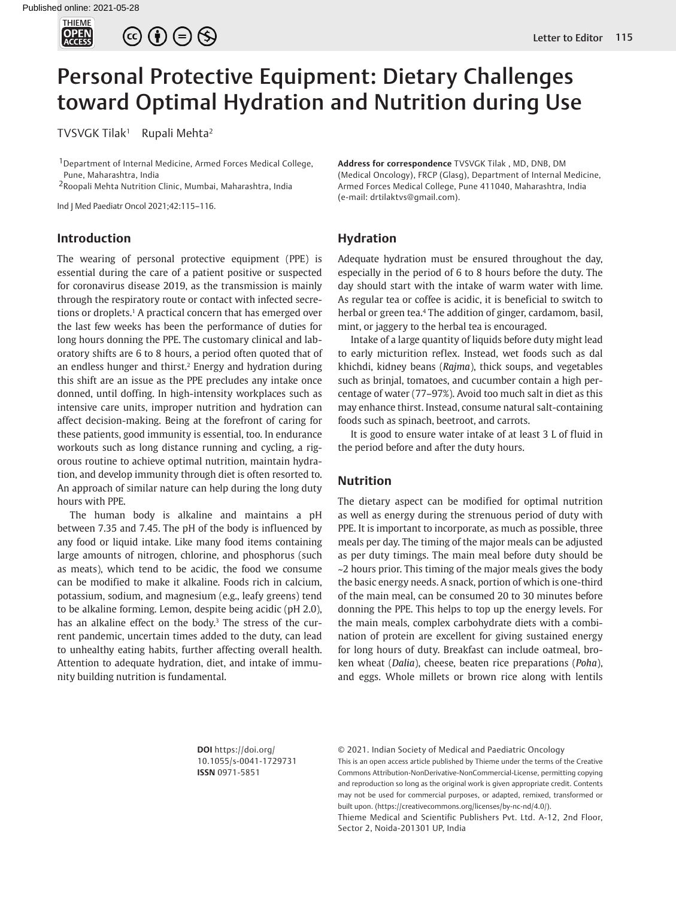

 $\circledcirc \bullet \circledcirc \circledcirc$ 

# Personal Protective Equipment: Dietary Challenges toward Optimal Hydration and Nutrition during Use

TVSVGK Tilak<sup>1</sup> Rupali Mehta<sup>2</sup>

<sup>1</sup> Department of Internal Medicine, Armed Forces Medical College, Pune, Maharashtra, India

2Roopali Mehta Nutrition Clinic, Mumbai, Maharashtra, India

Ind J Med Paediatr Oncol 2021;42:115–116.

### **Introduction**

The wearing of personal protective equipment (PPE) is essential during the care of a patient positive or suspected for coronavirus disease 2019, as the transmission is mainly through the respiratory route or contact with infected secretions or droplets.<sup>1</sup> A practical concern that has emerged over the last few weeks has been the performance of duties for long hours donning the PPE. The customary clinical and laboratory shifts are 6 to 8 hours, a period often quoted that of an endless hunger and thirst.<sup>2</sup> Energy and hydration during this shift are an issue as the PPE precludes any intake once donned, until doffing. In high-intensity workplaces such as intensive care units, improper nutrition and hydration can affect decision-making. Being at the forefront of caring for these patients, good immunity is essential, too. In endurance workouts such as long distance running and cycling, a rigorous routine to achieve optimal nutrition, maintain hydration, and develop immunity through diet is often resorted to. An approach of similar nature can help during the long duty hours with PPE.

The human body is alkaline and maintains a pH between 7.35 and 7.45. The pH of the body is influenced by any food or liquid intake. Like many food items containing large amounts of nitrogen, chlorine, and phosphorus (such as meats), which tend to be acidic, the food we consume can be modified to make it alkaline. Foods rich in calcium, potassium, sodium, and magnesium (e.g., leafy greens) tend to be alkaline forming. Lemon, despite being acidic (pH 2.0), has an alkaline effect on the body.<sup>3</sup> The stress of the current pandemic, uncertain times added to the duty, can lead to unhealthy eating habits, further affecting overall health. Attention to adequate hydration, diet, and intake of immunity building nutrition is fundamental.

**Address for correspondence** TVSVGK Tilak , MD, DNB, DM (Medical Oncology), FRCP (Glasg), Department of Internal Medicine, Armed Forces Medical College, Pune 411040, Maharashtra, India (e-mail: drtilaktvs@gmail.com).

#### **Hydration**

Adequate hydration must be ensured throughout the day, especially in the period of 6 to 8 hours before the duty. The day should start with the intake of warm water with lime. As regular tea or coffee is acidic, it is beneficial to switch to herbal or green tea.<sup>4</sup> The addition of ginger, cardamom, basil, mint, or jaggery to the herbal tea is encouraged.

Intake of a large quantity of liquids before duty might lead to early micturition reflex. Instead, wet foods such as dal khichdi, kidney beans (*Rajma*), thick soups, and vegetables such as brinjal, tomatoes, and cucumber contain a high percentage of water (77–97%). Avoid too much salt in diet as this may enhance thirst. Instead, consume natural salt-containing foods such as spinach, beetroot, and carrots.

It is good to ensure water intake of at least 3 L of fluid in the period before and after the duty hours.

### **Nutrition**

The dietary aspect can be modified for optimal nutrition as well as energy during the strenuous period of duty with PPE. It is important to incorporate, as much as possible, three meals per day. The timing of the major meals can be adjusted as per duty timings. The main meal before duty should be ~2 hours prior. This timing of the major meals gives the body the basic energy needs. A snack, portion of which is one-third of the main meal, can be consumed 20 to 30 minutes before donning the PPE. This helps to top up the energy levels. For the main meals, complex carbohydrate diets with a combination of protein are excellent for giving sustained energy for long hours of duty. Breakfast can include oatmeal, broken wheat (*Dalia*), cheese, beaten rice preparations (*Poha*), and eggs. Whole millets or brown rice along with lentils

**DOI** https://doi.org/ 10.1055/s-0041-1729731 **ISSN** 0971-5851

© 2021. Indian Society of Medical and Paediatric Oncology

This is an open access article published by Thieme under the terms of the Creative Commons Attribution-NonDerivative-NonCommercial-License, permitting copying and reproduction so long as the original work is given appropriate credit. Contents may not be used for commercial purposes, or adapted, remixed, transformed or built upon. (https://creativecommons.org/licenses/by-nc-nd/4.0/).

Thieme Medical and Scientific Publishers Pvt. Ltd. A-12, 2nd Floor, Sector 2, Noida-201301 UP, India